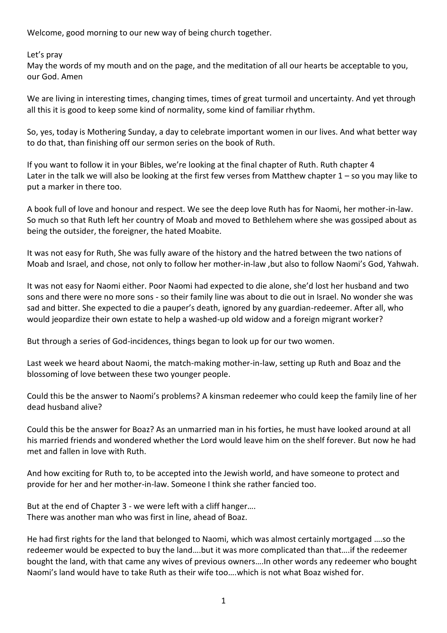Welcome, good morning to our new way of being church together.

Let's pray

May the words of my mouth and on the page, and the meditation of all our hearts be acceptable to you, our God. Amen

We are living in interesting times, changing times, times of great turmoil and uncertainty. And yet through all this it is good to keep some kind of normality, some kind of familiar rhythm.

So, yes, today is Mothering Sunday, a day to celebrate important women in our lives. And what better way to do that, than finishing off our sermon series on the book of Ruth.

If you want to follow it in your Bibles, we're looking at the final chapter of Ruth. Ruth chapter 4 Later in the talk we will also be looking at the first few verses from Matthew chapter 1 – so you may like to put a marker in there too.

A book full of love and honour and respect. We see the deep love Ruth has for Naomi, her mother-in-law. So much so that Ruth left her country of Moab and moved to Bethlehem where she was gossiped about as being the outsider, the foreigner, the hated Moabite.

It was not easy for Ruth, She was fully aware of the history and the hatred between the two nations of Moab and Israel, and chose, not only to follow her mother-in-law ,but also to follow Naomi's God, Yahwah.

It was not easy for Naomi either. Poor Naomi had expected to die alone, she'd lost her husband and two sons and there were no more sons - so their family line was about to die out in Israel. No wonder she was sad and bitter. She expected to die a pauper's death, ignored by any guardian-redeemer. After all, who would jeopardize their own estate to help a washed-up old widow and a foreign migrant worker?

But through a series of God-incidences, things began to look up for our two women.

Last week we heard about Naomi, the match-making mother-in-law, setting up Ruth and Boaz and the blossoming of love between these two younger people.

Could this be the answer to Naomi's problems? A kinsman redeemer who could keep the family line of her dead husband alive?

Could this be the answer for Boaz? As an unmarried man in his forties, he must have looked around at all his married friends and wondered whether the Lord would leave him on the shelf forever. But now he had met and fallen in love with Ruth.

And how exciting for Ruth to, to be accepted into the Jewish world, and have someone to protect and provide for her and her mother-in-law. Someone I think she rather fancied too.

But at the end of Chapter 3 - we were left with a cliff hanger…. There was another man who was first in line, ahead of Boaz.

He had first rights for the land that belonged to Naomi, which was almost certainly mortgaged ….so the redeemer would be expected to buy the land….but it was more complicated than that….if the redeemer bought the land, with that came any wives of previous owners….In other words any redeemer who bought Naomi's land would have to take Ruth as their wife too….which is not what Boaz wished for.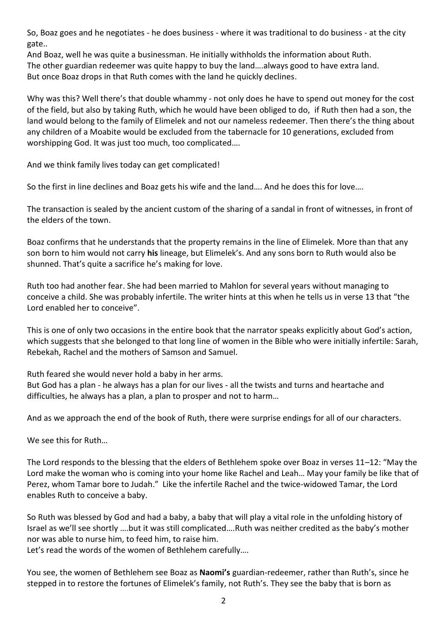So, Boaz goes and he negotiates - he does business - where it was traditional to do business - at the city gate..

And Boaz, well he was quite a businessman. He initially withholds the information about Ruth. The other guardian redeemer was quite happy to buy the land….always good to have extra land. But once Boaz drops in that Ruth comes with the land he quickly declines.

Why was this? Well there's that double whammy - not only does he have to spend out money for the cost of the field, but also by taking Ruth, which he would have been obliged to do, if Ruth then had a son, the land would belong to the family of Elimelek and not our nameless redeemer. Then there's the thing about any children of a Moabite would be excluded from the tabernacle for 10 generations, excluded from worshipping God. It was just too much, too complicated….

And we think family lives today can get complicated!

So the first in line declines and Boaz gets his wife and the land…. And he does this for love….

The transaction is sealed by the ancient custom of the sharing of a sandal in front of witnesses, in front of the elders of the town.

Boaz confirms that he understands that the property remains in the line of Elimelek. More than that any son born to him would not carry **his** lineage, but Elimelek's. And any sons born to Ruth would also be shunned. That's quite a sacrifice he's making for love.

Ruth too had another fear. She had been married to Mahlon for several years without managing to conceive a child. She was probably infertile. The writer hints at this when he tells us in verse 13 that "the Lord enabled her to conceive".

This is one of only two occasions in the entire book that the narrator speaks explicitly about God's action, which suggests that she belonged to that long line of women in the Bible who were initially infertile: Sarah, Rebekah, Rachel and the mothers of Samson and Samuel.

Ruth feared she would never hold a baby in her arms. But God has a plan - he always has a plan for our lives - all the twists and turns and heartache and difficulties, he always has a plan, a plan to prosper and not to harm…

And as we approach the end of the book of Ruth, there were surprise endings for all of our characters.

We see this for Ruth…

The Lord responds to the blessing that the elders of Bethlehem spoke over Boaz in verses 11–12: "May the Lord make the woman who is coming into your home like Rachel and Leah… May your family be like that of Perez, whom Tamar bore to Judah." Like the infertile Rachel and the twice-widowed Tamar, the Lord enables Ruth to conceive a baby.

So Ruth was blessed by God and had a baby, a baby that will play a vital role in the unfolding history of Israel as we'll see shortly ….but it was still complicated….Ruth was neither credited as the baby's mother nor was able to nurse him, to feed him, to raise him.

Let's read the words of the women of Bethlehem carefully….

You see, the women of Bethlehem see Boaz as **Naomi's** guardian-redeemer, rather than Ruth's, since he stepped in to restore the fortunes of Elimelek's family, not Ruth's. They see the baby that is born as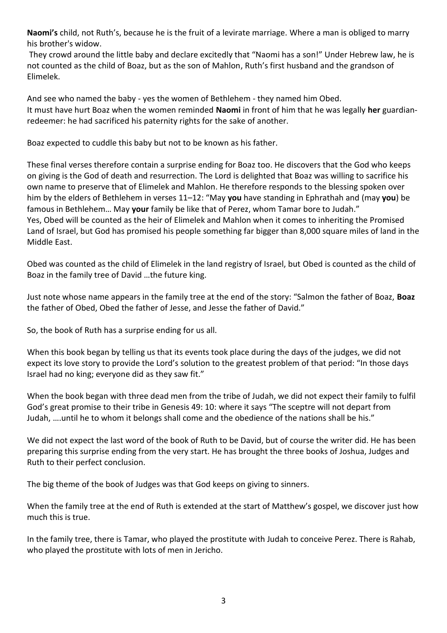**Naomi's** child, not Ruth's, because he is the fruit of a levirate marriage. Where a man is obliged to marry his brother's widow.

They crowd around the little baby and declare excitedly that "Naomi has a son!" Under Hebrew law, he is not counted as the child of Boaz, but as the son of Mahlon, Ruth's first husband and the grandson of Elimelek.

And see who named the baby - yes the women of Bethlehem - they named him Obed. It must have hurt Boaz when the women reminded **Naomi** in front of him that he was legally **her** guardianredeemer: he had sacrificed his paternity rights for the sake of another.

Boaz expected to cuddle this baby but not to be known as his father.

These final verses therefore contain a surprise ending for Boaz too. He discovers that the God who keeps on giving is the God of death and resurrection. The Lord is delighted that Boaz was willing to sacrifice his own name to preserve that of Elimelek and Mahlon. He therefore responds to the blessing spoken over him by the elders of Bethlehem in verses 11–12: "May **you** have standing in Ephrathah and (may **you**) be famous in Bethlehem… May **your** family be like that of Perez, whom Tamar bore to Judah." Yes, Obed will be counted as the heir of Elimelek and Mahlon when it comes to inheriting the Promised Land of Israel, but God has promised his people something far bigger than 8,000 square miles of land in the Middle East.

Obed was counted as the child of Elimelek in the land registry of Israel, but Obed is counted as the child of Boaz in the family tree of David …the future king.

Just note whose name appears in the family tree at the end of the story: "Salmon the father of Boaz, **Boaz** the father of Obed, Obed the father of Jesse, and Jesse the father of David."

So, the book of Ruth has a surprise ending for us all.

When this book began by telling us that its events took place during the days of the judges, we did not expect its love story to provide the Lord's solution to the greatest problem of that period: "In those days Israel had no king; everyone did as they saw fit."

When the book began with three dead men from the tribe of Judah, we did not expect their family to fulfil God's great promise to their tribe in Genesis 49: 10: where it says "The sceptre will not depart from Judah, ….until he to whom it belongs shall come and the obedience of the nations shall be his."

We did not expect the last word of the book of Ruth to be David, but of course the writer did. He has been preparing this surprise ending from the very start. He has brought the three books of Joshua, Judges and Ruth to their perfect conclusion.

The big theme of the book of Judges was that God keeps on giving to sinners.

When the family tree at the end of Ruth is extended at the start of Matthew's gospel, we discover just how much this is true.

In the family tree, there is Tamar, who played the prostitute with Judah to conceive Perez. There is Rahab, who played the prostitute with lots of men in Jericho.